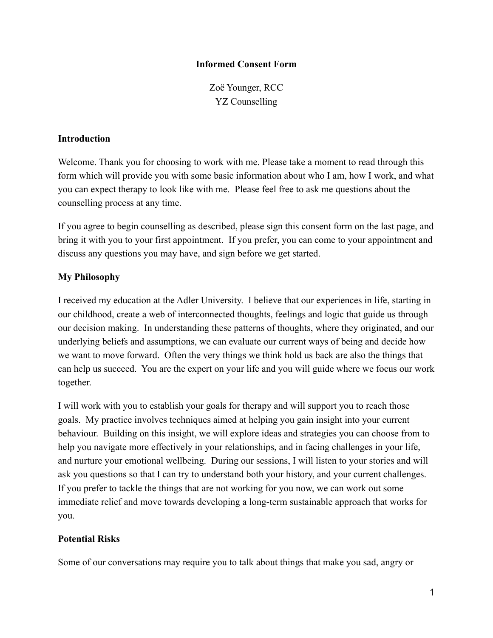### **Informed Consent Form**

Zoë Younger, RCC YZ Counselling

#### **Introduction**

Welcome. Thank you for choosing to work with me. Please take a moment to read through this form which will provide you with some basic information about who I am, how I work, and what you can expect therapy to look like with me. Please feel free to ask me questions about the counselling process at any time.

If you agree to begin counselling as described, please sign this consent form on the last page, and bring it with you to your first appointment. If you prefer, you can come to your appointment and discuss any questions you may have, and sign before we get started.

## **My Philosophy**

I received my education at the Adler University. I believe that our experiences in life, starting in our childhood, create a web of interconnected thoughts, feelings and logic that guide us through our decision making. In understanding these patterns of thoughts, where they originated, and our underlying beliefs and assumptions, we can evaluate our current ways of being and decide how we want to move forward. Often the very things we think hold us back are also the things that can help us succeed. You are the expert on your life and you will guide where we focus our work together.

I will work with you to establish your goals for therapy and will support you to reach those goals. My practice involves techniques aimed at helping you gain insight into your current behaviour. Building on this insight, we will explore ideas and strategies you can choose from to help you navigate more effectively in your relationships, and in facing challenges in your life, and nurture your emotional wellbeing. During our sessions, I will listen to your stories and will ask you questions so that I can try to understand both your history, and your current challenges. If you prefer to tackle the things that are not working for you now, we can work out some immediate relief and move towards developing a long-term sustainable approach that works for you.

### **Potential Risks**

Some of our conversations may require you to talk about things that make you sad, angry or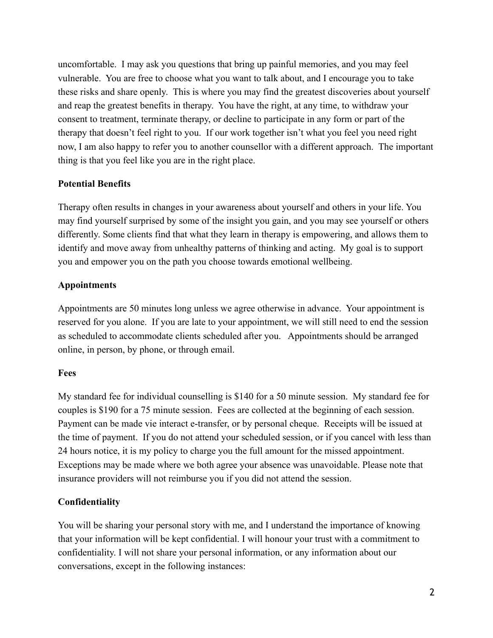uncomfortable. I may ask you questions that bring up painful memories, and you may feel vulnerable. You are free to choose what you want to talk about, and I encourage you to take these risks and share openly. This is where you may find the greatest discoveries about yourself and reap the greatest benefits in therapy. You have the right, at any time, to withdraw your consent to treatment, terminate therapy, or decline to participate in any form or part of the therapy that doesn't feel right to you. If our work together isn't what you feel you need right now, I am also happy to refer you to another counsellor with a different approach. The important thing is that you feel like you are in the right place.

## **Potential Benefits**

Therapy often results in changes in your awareness about yourself and others in your life. You may find yourself surprised by some of the insight you gain, and you may see yourself or others differently. Some clients find that what they learn in therapy is empowering, and allows them to identify and move away from unhealthy patterns of thinking and acting. My goal is to support you and empower you on the path you choose towards emotional wellbeing.

## **Appointments**

Appointments are 50 minutes long unless we agree otherwise in advance. Your appointment is reserved for you alone. If you are late to your appointment, we will still need to end the session as scheduled to accommodate clients scheduled after you. Appointments should be arranged online, in person, by phone, or through email.

### **Fees**

My standard fee for individual counselling is \$140 for a 50 minute session. My standard fee for couples is \$190 for a 75 minute session. Fees are collected at the beginning of each session. Payment can be made vie interact e-transfer, or by personal cheque. Receipts will be issued at the time of payment. If you do not attend your scheduled session, or if you cancel with less than 24 hours notice, it is my policy to charge you the full amount for the missed appointment. Exceptions may be made where we both agree your absence was unavoidable. Please note that insurance providers will not reimburse you if you did not attend the session.

# **Confidentiality**

You will be sharing your personal story with me, and I understand the importance of knowing that your information will be kept confidential. I will honour your trust with a commitment to confidentiality. I will not share your personal information, or any information about our conversations, except in the following instances: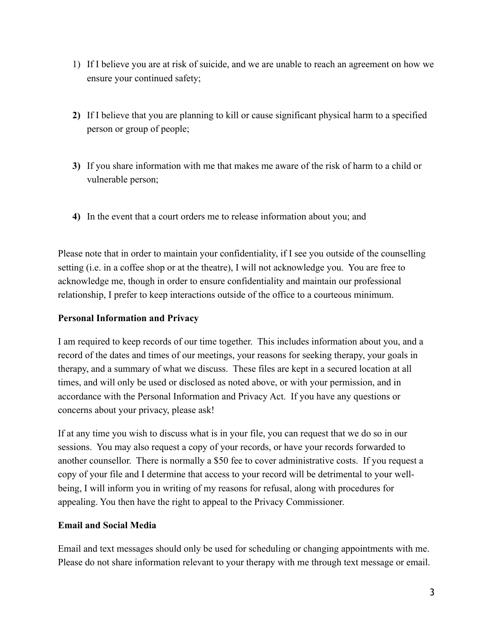- 1) If I believe you are at risk of suicide, and we are unable to reach an agreement on how we ensure your continued safety;
- **2)** If I believe that you are planning to kill or cause significant physical harm to a specified person or group of people;
- **3)** If you share information with me that makes me aware of the risk of harm to a child or vulnerable person;
- **4)** In the event that a court orders me to release information about you; and

Please note that in order to maintain your confidentiality, if I see you outside of the counselling setting (i.e. in a coffee shop or at the theatre), I will not acknowledge you. You are free to acknowledge me, though in order to ensure confidentiality and maintain our professional relationship, I prefer to keep interactions outside of the office to a courteous minimum.

### **Personal Information and Privacy**

I am required to keep records of our time together. This includes information about you, and a record of the dates and times of our meetings, your reasons for seeking therapy, your goals in therapy, and a summary of what we discuss. These files are kept in a secured location at all times, and will only be used or disclosed as noted above, or with your permission, and in accordance with the Personal Information and Privacy Act. If you have any questions or concerns about your privacy, please ask!

If at any time you wish to discuss what is in your file, you can request that we do so in our sessions. You may also request a copy of your records, or have your records forwarded to another counsellor. There is normally a \$50 fee to cover administrative costs. If you request a copy of your file and I determine that access to your record will be detrimental to your wellbeing, I will inform you in writing of my reasons for refusal, along with procedures for appealing. You then have the right to appeal to the Privacy Commissioner.

### **Email and Social Media**

Email and text messages should only be used for scheduling or changing appointments with me. Please do not share information relevant to your therapy with me through text message or email.